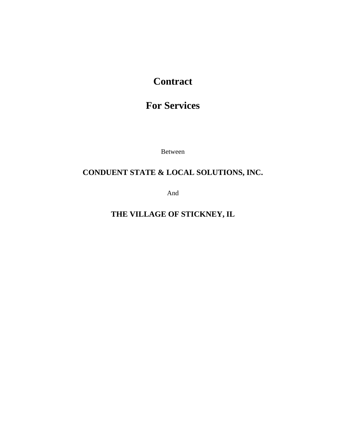# **Contract**

# **For Services**

Between

# **CONDUENT STATE & LOCAL SOLUTIONS, INC.**

And

**THE VILLAGE OF STICKNEY, IL**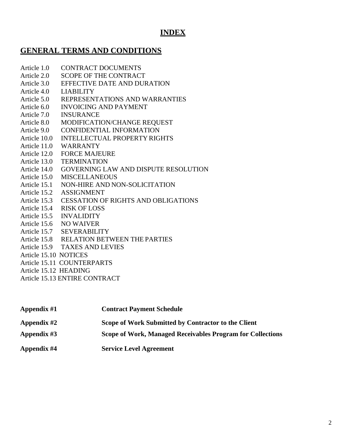# **INDEX**

# **GENERAL TERMS AND CONDITIONS**

- Article 1.0 CONTRACT DOCUMENTS
- Article 2.0 SCOPE OF THE CONTRACT
- Article 3.0 EFFECTIVE DATE AND DURATION
- Article 4.0 LIABILITY
- Article 5.0 REPRESENTATIONS AND WARRANTIES
- Article 6.0 INVOICING AND PAYMENT
- Article 7.0 INSURANCE
- Article 8.0 MODIFICATION/CHANGE REQUEST
- Article 9.0 CONFIDENTIAL INFORMATION
- Article 10.0 INTELLECTUAL PROPERTY RIGHTS
- Article 11.0 WARRANTY
- Article 12.0 FORCE MAJEURE
- Article 13.0 TERMINATION
- Article 14.0 GOVERNING LAW AND DISPUTE RESOLUTION
- Article 15.0 MISCELLANEOUS
- Article 15.1 NON-HIRE AND NON-SOLICITATION
- Article 15.2 ASSIGNMENT
- Article 15.3 CESSATION OF RIGHTS AND OBLIGATIONS
- Article 15.4 RISK OF LOSS
- Article 15.5 INVALIDITY
- Article 15.6 NO WAIVER
- Article 15.7 SEVERABILITY
- Article 15.8 RELATION BETWEEN THE PARTIES
- Article 15.9 TAXES AND LEVIES
- Article 15.10 NOTICES
- Article 15.11 COUNTERPARTS
- Article 15.12 HEADING
- Article 15.13 ENTIRE CONTRACT

| Appendix #1 | <b>Contract Payment Schedule</b>                                  |
|-------------|-------------------------------------------------------------------|
| Appendix #2 | Scope of Work Submitted by Contractor to the Client               |
| Appendix #3 | <b>Scope of Work, Managed Receivables Program for Collections</b> |
| Appendix #4 | <b>Service Level Agreement</b>                                    |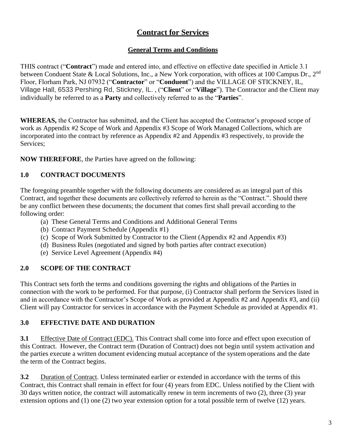# **Contract for Services**

## **General Terms and Conditions**

THIS contract ("**Contract**") made and entered into, and effective on effective date specified in Article 3.1 between Conduent State & Local Solutions, Inc., a New York corporation, with offices at 100 Campus Dr., 2nd Floor, Florham Park, NJ 07932 ("**Contractor**" or "**Conduent**") and the VILLAGE OF STICKNEY, IL, Village Hall, 6533 Pershing Rd, Stickney, IL. , ("**Client**" or "**Village**"). The Contractor and the Client may individually be referred to as a **Party** and collectively referred to as the "**Parties**".

**WHEREAS,** the Contractor has submitted, and the Client has accepted the Contractor's proposed scope of work as Appendix #2 Scope of Work and Appendix #3 Scope of Work Managed Collections, which are incorporated into the contract by reference as Appendix #2 and Appendix #3 respectively, to provide the Services;

**NOW THEREFORE**, the Parties have agreed on the following:

# **1.0 CONTRACT DOCUMENTS**

The foregoing preamble together with the following documents are considered as an integral part of this Contract, and together these documents are collectively referred to herein as the "Contract.". Should there be any conflict between these documents; the document that comes first shall prevail according to the following order:

- (a) These General Terms and Conditions and Additional General Terms
- (b) Contract Payment Schedule (Appendix #1)
- (c) Scope of Work Submitted by Contractor to the Client (Appendix #2 and Appendix #3)
- (d) Business Rules (negotiated and signed by both parties after contract execution)
- (e) Service Level Agreement (Appendix #4)

# **2.0 SCOPE OF THE CONTRACT**

This Contract sets forth the terms and conditions governing the rights and obligations of the Parties in connection with the work to be performed. For that purpose, (i) Contractor shall perform the Services listed in and in accordance with the Contractor's Scope of Work as provided at Appendix #2 and Appendix #3, and (ii) Client will pay Contractor for services in accordance with the Payment Schedule as provided at Appendix #1.

# **3.0 EFFECTIVE DATE AND DURATION**

**3.1** Effective Date of Contract (EDC). This Contract shall come into force and effect upon execution of this Contract. However, the Contract term (Duration of Contract) does not begin until system activation and the parties execute a written document evidencing mutual acceptance of the system operations and the date the term of the Contract begins.

**3.2** Duration of Contract. Unless terminated earlier or extended in accordance with the terms of this Contract, this Contract shall remain in effect for four (4) years from EDC. Unless notified by the Client with 30 days written notice, the contract will automatically renew in term increments of two (2), three (3) year extension options and (1) one (2) two year extension option for a total possible term of twelve (12) years.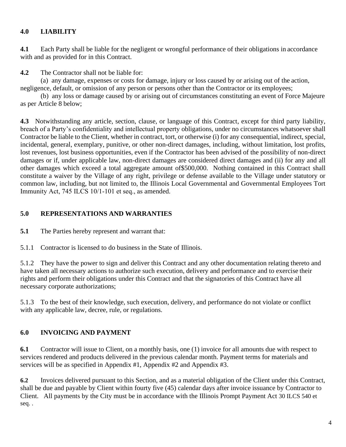### **4.0 LIABILITY**

**4.1** Each Party shall be liable for the negligent or wrongful performance of their obligations in accordance with and as provided for in this Contract.

**4.2** The Contractor shall not be liable for:

(a) any damage, expenses or costs for damage, injury or loss caused by or arising out of the action, negligence, default, or omission of any person or persons other than the Contractor or its employees;

(b) any loss or damage caused by or arising out of circumstances constituting an event of Force Majeure as per Article 8 below;

**4.3** Notwithstanding any article, section, clause, or language of this Contract, except for third party liability, breach of a Party's confidentiality and intellectual property obligations, under no circumstances whatsoever shall Contractor be liable to the Client, whether in contract, tort, or otherwise (i) for any consequential, indirect, special, incidental, general, exemplary, punitive, or other non-direct damages, including, without limitation, lost profits, lost revenues, lost business opportunities, even if the Contractor has been advised of the possibility of non-direct damages or if, under applicable law, non-direct damages are considered direct damages and (ii) for any and all other damages which exceed a total aggregate amount of\$500,000. Nothing contained in this Contract shall constitute a waiver by the Village of any right, privilege or defense available to the Village under statutory or common law, including, but not limited to, the Illinois Local Governmental and Governmental Employees Tort Immunity Act, 745 ILCS 10/1‐101 et seq., as amended.

### **5.0 REPRESENTATIONS AND WARRANTIES**

**5.1** The Parties hereby represent and warrant that:

5.1.1 Contractor is licensed to do business in the State of Illinois.

5.1.2 They have the power to sign and deliver this Contract and any other documentation relating thereto and have taken all necessary actions to authorize such execution, delivery and performance and to exercise their rights and perform their obligations under this Contract and that the signatories of this Contract have all necessary corporate authorizations;

5.1.3 To the best of their knowledge, such execution, delivery, and performance do not violate or conflict with any applicable law, decree, rule, or regulations.

# **6.0 INVOICING AND PAYMENT**

**6.1** Contractor will issue to Client, on a monthly basis, one (1) invoice for all amounts due with respect to services rendered and products delivered in the previous calendar month. Payment terms for materials and services will be as specified in Appendix #1, Appendix #2 and Appendix #3.

**6.2** Invoices delivered pursuant to this Section, and as a material obligation of the Client under this Contract, shall be due and payable by Client within fourty five (45) calendar days after invoice issuance by Contractor to Client. All payments by the City must be in accordance with the Illinois Prompt Payment Act 30 ILCS 540 et seq. .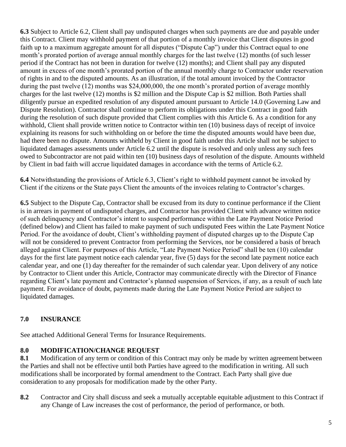**6.3** Subject to Article 6.2, Client shall pay undisputed charges when such payments are due and payable under this Contract. Client may withhold payment of that portion of a monthly invoice that Client disputes in good faith up to a maximum aggregate amount for all disputes ("Dispute Cap") under this Contract equal to one month's prorated portion of average annual monthly charges for the last twelve (12) months (of such lesser period if the Contract has not been in duration for twelve (12) months); and Client shall pay any disputed amount in excess of one month's prorated portion of the annual monthly charge to Contractor under reservation of rights in and to the disputed amounts. As an illustration, if the total amount invoiced by the Contractor during the past twelve (12) months was \$24,000,000, the one month's prorated portion of average monthly charges for the last twelve (12) months is \$2 million and the Dispute Cap is \$2 million. Both Parties shall diligently pursue an expedited resolution of any disputed amount pursuant to Article 14.0 (Governing Law and Dispute Resolution). Contractor shall continue to perform its obligations under this Contract in good faith during the resolution of such dispute provided that Client complies with this Article 6. As a condition for any withhold, Client shall provide written notice to Contractor within ten (10) business days of receipt of invoice explaining its reasons for such withholding on or before the time the disputed amounts would have been due, had there been no dispute. Amounts withheld by Client in good faith under this Article shall not be subject to liquidated damages assessments under Article 6.2 until the dispute is resolved and only unless any such fees owed to Subcontractor are not paid within ten (10) business days of resolution of the dispute. Amounts withheld by Client in bad faith will accrue liquidated damages in accordance with the terms of Article 6.2.

**6.4** Notwithstanding the provisions of Article 6.3, Client's right to withhold payment cannot be invoked by Client if the citizens or the State pays Client the amounts of the invoices relating to Contractor's charges.

**6.5** Subject to the Dispute Cap, Contractor shall be excused from its duty to continue performance if the Client is in arrears in payment of undisputed charges, and Contractor has provided Client with advance written notice of such delinquency and Contractor's intent to suspend performance within the Late Payment Notice Period (defined below) and Client has failed to make payment of such undisputed Fees within the Late Payment Notice Period. For the avoidance of doubt, Client's withholding payment of disputed charges up to the Dispute Cap will not be considered to prevent Contractor from performing the Services, nor be considered a basis of breach alleged against Client. For purposes of this Article, "Late Payment Notice Period" shall be ten (10) calendar days for the first late payment notice each calendar year, five (5) days for the second late payment notice each calendar year, and one (1) day thereafter for the remainder of such calendar year. Upon delivery of any notice by Contractor to Client under this Article, Contractor may communicate directly with the Director of Finance regarding Client's late payment and Contractor's planned suspension of Services, if any, as a result of such late payment. For avoidance of doubt, payments made during the Late Payment Notice Period are subject to liquidated damages.

# **7.0 INSURANCE**

See attached Additional General Terms for Insurance Requirements.

### **8.0 MODIFICATION/CHANGE REQUEST**

**8.1** Modification of any term or condition of this Contract may only be made by written agreement between the Parties and shall not be effective until both Parties have agreed to the modification in writing. All such modifications shall be incorporated by formal amendment to the Contract. Each Party shall give due consideration to any proposals for modification made by the other Party.

**8.2** Contractor and City shall discuss and seek a mutually acceptable equitable adjustment to this Contract if any Change of Law increases the cost of performance, the period of performance, or both.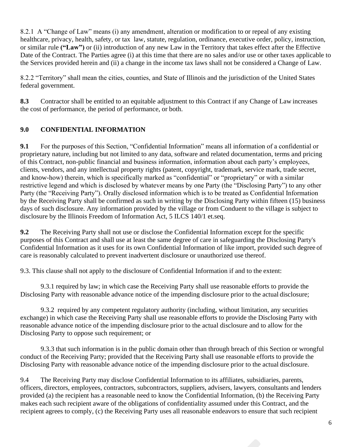8.2.1 A "Change of Law" means (i) any amendment, alteration or modification to or repeal of any existing healthcare, privacy, health, safety, or tax law, statute, regulation, ordinance, executive order, policy, instruction, or similar rule **("Law")** or (ii) introduction of any new Law in the Territory that takes effect after the Effective Date of the Contract. The Parties agree (i) at this time that there are no sales and/or use or other taxes applicable to the Services provided herein and (ii) a change in the income tax laws shall not be considered a Change of Law.

8.2.2 "Territory" shall mean the cities, counties, and State of Illinois and the jurisdiction of the United States federal government.

**8.3** Contractor shall be entitled to an equitable adjustment to this Contract if any Change of Law increases the cost of performance, the period of performance, or both.

# **9.0 CONFIDENTIAL INFORMATION**

**9.1** For the purposes of this Section, "Confidential Information" means all information of a confidential or proprietary nature, including but not limited to any data, software and related documentation, terms and pricing of this Contract, non-public financial and business information, information about each party's employees, clients, vendors, and any intellectual property rights (patent, copyright, trademark, service mark, trade secret, and know-how) therein, which is specifically marked as "confidential" or "proprietary" or with a similar restrictive legend and which is disclosed by whatever means by one Party (the "Disclosing Party") to any other Party (the "Receiving Party"). Orally disclosed information which is to be treated as Confidential Information by the Receiving Party shall be confirmed as such in writing by the Disclosing Party within fifteen (15) business days of such disclosure. Any information provided by the village or from Conduent to the village is subject to disclosure by the Illinois Freedom of Information Act, 5 ILCS 140/1 et.seq.

**9.2** The Receiving Party shall not use or disclose the Confidential Information except for the specific purposes of this Contract and shall use at least the same degree of care in safeguarding the Disclosing Party's Confidential Information as it uses for its own Confidential Information of like import, provided such degree of care is reasonably calculated to prevent inadvertent disclosure or unauthorized use thereof.

9.3. This clause shall not apply to the disclosure of Confidential Information if and to the extent:

9.3.1 required by law; in which case the Receiving Party shall use reasonable efforts to provide the Disclosing Party with reasonable advance notice of the impending disclosure prior to the actual disclosure;

9.3.2 required by any competent regulatory authority (including, without limitation, any securities exchange) in which case the Receiving Party shall use reasonable efforts to provide the Disclosing Party with reasonable advance notice of the impending disclosure prior to the actual disclosure and to allow for the Disclosing Party to oppose such requirement; or

9.3.3 that such information is in the public domain other than through breach of this Section or wrongful conduct of the Receiving Party; provided that the Receiving Party shall use reasonable efforts to provide the Disclosing Party with reasonable advance notice of the impending disclosure prior to the actual disclosure.

9.4 The Receiving Party may disclose Confidential Information to its affiliates, subsidiaries, parents, officers, directors, employees, contractors, subcontractors, suppliers, advisers, lawyers, consultants and lenders provided (a) the recipient has a reasonable need to know the Confidential Information, (b) the Receiving Party makes each such recipient aware of the obligations of confidentiality assumed under this Contract, and the recipient agrees to comply, (c) the Receiving Party uses all reasonable endeavors to ensure that such recipient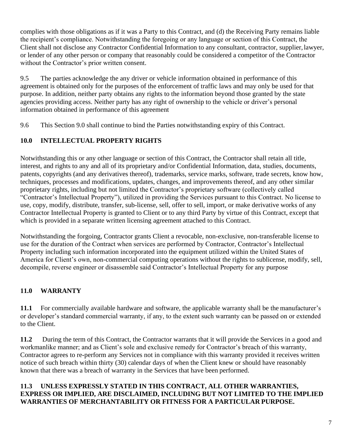complies with those obligations as if it was a Party to this Contract, and (d) the Receiving Party remains liable the recipient's compliance. Notwithstanding the foregoing or any language or section of this Contract, the Client shall not disclose any Contractor Confidential Information to any consultant, contractor, supplier,lawyer, or lender of any other person or company that reasonably could be considered a competitor of the Contractor without the Contractor's prior written consent.

9.5 The parties acknowledge the any driver or vehicle information obtained in performance of this agreement is obtained only for the purposes of the enforcement of traffic laws and may only be used for that purpose. In addition, neither party obtains any rights to the information beyond those granted by the state agencies providing access. Neither party has any right of ownership to the vehicle or driver's personal information obtained in performance of this agreement

9.6 This Section 9.0 shall continue to bind the Parties notwithstanding expiry of this Contract.

### **10.0 INTELLECTUAL PROPERTY RIGHTS**

Notwithstanding this or any other language or section of this Contract, the Contractor shall retain all title, interest, and rights to any and all of its proprietary and/or Confidential Information, data, studies, documents, patents, copyrights (and any derivatives thereof), trademarks, service marks, software, trade secrets, know how, techniques, processes and modifications, updates, changes, and improvements thereof, and any other similar proprietary rights, including but not limited the Contractor's proprietary software (collectively called "Contractor's Intellectual Property"), utilized in providing the Services pursuant to this Contract. No license to use, copy, modify, distribute, transfer, sub-license, sell, offer to sell, import, or make derivative works of any Contractor Intellectual Property is granted to Client or to any third Party by virtue of this Contract, except that which is provided in a separate written licensing agreement attached to this Contract.

Notwithstanding the forgoing, Contractor grants Client a revocable, non-exclusive, non-transferable license to use for the duration of the Contract when services are performed by Contractor, Contractor's Intellectual Property including such information incorporated into the equipment utilized within the United States of America for Client's own, non-commercial computing operations without the rights to sublicense, modify, sell, decompile, reverse engineer or disassemble said Contractor's Intellectual Property for any purpose

# **11.0 WARRANTY**

**11.1** For commercially available hardware and software, the applicable warranty shall be the manufacturer's or developer's standard commercial warranty, if any, to the extent such warranty can be passed on or extended to the Client.

**11.2** During the term of this Contract, the Contractor warrants that it will provide the Services in a good and workmanlike manner; and as Client's sole and exclusive remedy for Contractor's breach of this warranty, Contractor agrees to re-perform any Services not in compliance with this warranty provided it receives written notice of such breach within thirty (30) calendar days of when the Client knew or should have reasonably known that there was a breach of warranty in the Services that have been performed.

### **11.3 UNLESS EXPRESSLY STATED IN THIS CONTRACT, ALL OTHER WARRANTIES, EXPRESS OR IMPLIED, ARE DISCLAIMED, INCLUDING BUT NOT LIMITED TO THE IMPLIED WARRANTIES OF MERCHANTABILITY OR FITNESS FOR A PARTICULAR PURPOSE.**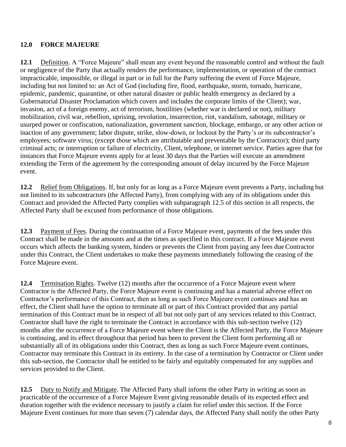### **12.0 FORCE MAJEURE**

**12.1** Definition. A "Force Majeure" shall mean any event beyond the reasonable control and without the fault or negligence of the Party that actually renders the performance, implementation, or operation of the contract impracticable, impossible, or illegal in part or in full for the Party suffering the event of Force Majeure, including but not limited to: an Act of God (including fire, flood, earthquake, storm, tornado, hurricane, epidemic, pandemic, quarantine, or other natural disaster or public health emergency as declared by a Gubernatorial Disaster Proclamation which covers and includes the corporate limits of the Client); war, invasion, act of a foreign enemy, act of terrorism, hostilities (whether war is declared or not), military mobilization, civil war, rebellion, uprising, revolution, insurrection, riot, vandalism, sabotage, military or usurped power or confiscation, nationalization, government sanction, blockage, embargo, or any other action or inaction of any government; labor dispute, strike, slow-down, or lockout by the Party's or its subcontractor's employees; software virus; (except those which are attributable and preventable by the Contractor); third party criminal acts; or interruption or failure of electricity, Client, telephone, or internet service. Parties agree that for instances that Force Majeure events apply for at least 30 days that the Parties will execute an amendment extending the Term of the agreement by the corresponding amount of delay incurred by the Force Majeure event.

**12.2** Relief from Obligations. If, but only for as long as a Force Majeure event prevents a Party, including but not limited to its subcontractors (the Affected Party), from complying with any of its obligations under this Contract and provided the Affected Party complies with subparagraph 12.5 of this section in all respects, the Affected Party shall be excused from performance of those obligations.

**12.3** Payment of Fees. During the continuation of a Force Majeure event, payments of the fees under this Contract shall be made in the amounts and at the times as specified in this contract. If a Force Majeure event occurs which affects the banking system, hinders or prevents the Client from paying any fees due Contractor under this Contract, the Client undertakes to make these payments immediately following the ceasing of the Force Majeure event.

**12.4** Termination Rights. Twelve (12) months after the occurrence of a Force Majeure event where Contractor is the Affected Party, the Force Majeure event is continuing and has a material adverse effect on Contractor's performance of this Contract, then as long as such Force Majeure event continues and has an effect, the Client shall have the option to terminate all or part of this Contract provided that any partial termination of this Contract must be in respect of all but not only part of any services related to this Contract. Contractor shall have the right to terminate the Contract in accordance with this sub-section twelve (12) months after the occurrence of a Force Majeure event where the Client is the Affected Party, the Force Majeure is continuing, and its effect throughout that period has been to prevent the Client form performing all or substantially all of its obligations under this Contract, then as long as such Force Majeure event continues, Contractor may terminate this Contract in its entirety. In the case of a termination by Contractor or Client under this sub-section, the Contractor shall be entitled to be fairly and equitably compensated for any supplies and services provided to the Client.

**12.5** Duty to Notify and Mitigate. The Affected Party shall inform the other Party in writing as soon as practicable of the occurrence of a Force Majeure Event giving reasonable details of its expected effect and duration together with the evidence necessary to justify a claim for relief under this section. If the Force Majeure Event continues for more than seven (7) calendar days, the Affected Party shall notify the other Party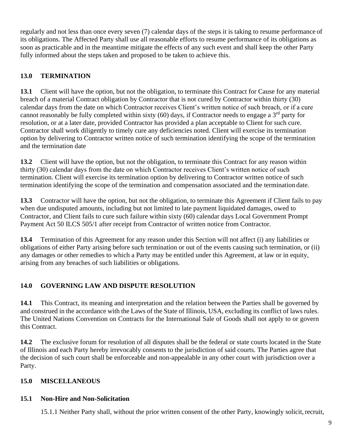regularly and not less than once every seven (7) calendar days of the steps it is taking to resume performance of its obligations. The Affected Party shall use all reasonable efforts to resume performance of its obligations as soon as practicable and in the meantime mitigate the effects of any such event and shall keep the other Party fully informed about the steps taken and proposed to be taken to achieve this.

# **13.0 TERMINATION**

**13.1** Client will have the option, but not the obligation, to terminate this Contract for Cause for any material breach of a material Contract obligation by Contractor that is not cured by Contractor within thirty (30) calendar days from the date on which Contractor receives Client's written notice of such breach, or if a cure cannot reasonably be fully completed within sixty (60) days, if Contractor needs to engage a  $3<sup>rd</sup>$  party for resolution, or at a later date, provided Contractor has provided a plan acceptable to Client for such cure. Contractor shall work diligently to timely cure any deficiencies noted. Client will exercise its termination option by delivering to Contractor written notice of such termination identifying the scope of the termination and the termination date

**13.2** Client will have the option, but not the obligation, to terminate this Contract for any reason within thirty (30) calendar days from the date on which Contractor receives Client's written notice of such termination. Client will exercise its termination option by delivering to Contractor written notice of such termination identifying the scope of the termination and compensation associated and the termination date.

**13.3** Contractor will have the option, but not the obligation, to terminate this Agreement if Client fails to pay when due undisputed amounts, including but not limited to late payment liquidated damages, owed to Contractor, and Client fails to cure such failure within sixty (60) calendar days Local Government Prompt Payment Act 50 ILCS 505/1 after receipt from Contractor of written notice from Contractor.

**13.4** Termination of this Agreement for any reason under this Section will not affect (i) any liabilities or obligations of either Party arising before such termination or out of the events causing such termination, or (ii) any damages or other remedies to which a Party may be entitled under this Agreement, at law or in equity, arising from any breaches of such liabilities or obligations.

# **14.0 GOVERNING LAW AND DISPUTE RESOLUTION**

**14.1** This Contract, its meaning and interpretation and the relation between the Parties shall be governed by and construed in the accordance with the Laws of the State of Illinois, USA, excluding its conflict of laws rules. The United Nations Convention on Contracts for the International Sale of Goods shall not apply to or govern this Contract.

**14.2** The exclusive forum for resolution of all disputes shall be the federal or state courts located in the State of Illinois and each Party hereby irrevocably consents to the jurisdiction of said courts. The Parties agree that the decision of such court shall be enforceable and non-appealable in any other court with jurisdiction over a Party.

# **15.0 MISCELLANEOUS**

# **15.1 Non-Hire and Non-Solicitation**

15.1.1 Neither Party shall, without the prior written consent of the other Party, knowingly solicit,recruit,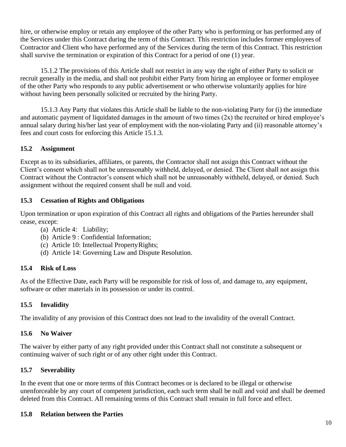hire, or otherwise employ or retain any employee of the other Party who is performing or has performed any of the Services under this Contract during the term of this Contract. This restriction includes former employees of Contractor and Client who have performed any of the Services during the term of this Contract. This restriction shall survive the termination or expiration of this Contract for a period of one (1) year.

15.1.2 The provisions of this Article shall not restrict in any way the right of either Party to solicit or recruit generally in the media, and shall not prohibit either Party from hiring an employee or former employee of the other Party who responds to any public advertisement or who otherwise voluntarily applies for hire without having been personally solicited or recruited by the hiring Party.

15.1.3 Any Party that violates this Article shall be liable to the non-violating Party for (i) the immediate and automatic payment of liquidated damages in the amount of two times (2x) the recruited or hired employee's annual salary during his/her last year of employment with the non-violating Party and (ii) reasonable attorney's fees and court costs for enforcing this Article 15.1.3.

### **15.2 Assignment**

Except as to its subsidiaries, affiliates, or parents, the Contractor shall not assign this Contract without the Client's consent which shall not be unreasonably withheld, delayed, or denied. The Client shall not assign this Contract without the Contractor's consent which shall not be unreasonably withheld, delayed, or denied. Such assignment without the required consent shall be null and void.

### **15.3 Cessation of Rights and Obligations**

Upon termination or upon expiration of this Contract all rights and obligations of the Parties hereunder shall cease, except:

- (a) Article 4: Liability;
- (b) Article 9 : Confidential Information;
- (c) Article 10: Intellectual PropertyRights;
- (d) Article 14: Governing Law and Dispute Resolution.

### **15.4 Risk of Loss**

As of the Effective Date, each Party will be responsible for risk of loss of, and damage to, any equipment, software or other materials in its possession or under its control.

### **15.5 Invalidity**

The invalidity of any provision of this Contract does not lead to the invalidity of the overall Contract.

### **15.6 No Waiver**

The waiver by either party of any right provided under this Contract shall not constitute a subsequent or continuing waiver of such right or of any other right under this Contract.

### **15.7 Severability**

In the event that one or more terms of this Contract becomes or is declared to be illegal or otherwise unenforceable by any court of competent jurisdiction, each such term shall be null and void and shall be deemed deleted from this Contract. All remaining terms of this Contract shall remain in full force and effect.

### **15.8 Relation between the Parties**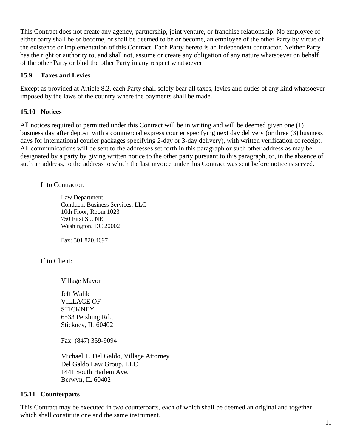This Contract does not create any agency, partnership, joint venture, or franchise relationship. No employee of either party shall be or become, or shall be deemed to be or become, an employee of the other Party by virtue of the existence or implementation of this Contract. Each Party hereto is an independent contractor. Neither Party has the right or authority to, and shall not, assume or create any obligation of any nature whatsoever on behalf of the other Party or bind the other Party in any respect whatsoever.

#### **15.9 Taxes and Levies**

Except as provided at Article 8.2, each Party shall solely bear all taxes, levies and duties of any kind whatsoever imposed by the laws of the country where the payments shall be made.

#### **15.10 Notices**

All notices required or permitted under this Contract will be in writing and will be deemed given one (1) business day after deposit with a commercial express courier specifying next day delivery (or three (3) business days for international courier packages specifying 2-day or 3-day delivery), with written verification of receipt. All communications will be sent to the addresses set forth in this paragraph or such other address as may be designated by a party by giving written notice to the other party pursuant to this paragraph, or, in the absence of such an address, to the address to which the last invoice under this Contract was sent before notice is served.

If to Contractor:

Law Department Conduent Business Services, LLC 10th Floor, Room 1023 750 First St., NE Washington, DC 20002

Fax: 301.820.4697

If to Client:

Village Mayor

Jeff Walik VILLAGE OF **STICKNEY** 6533 Pershing Rd., Stickney, IL 60402

Fax: (847) 359-9094

Michael T. Del Galdo, Village Attorney Del Galdo Law Group, LLC 1441 South Harlem Ave. Berwyn, IL 60402

#### **15.11 Counterparts**

This Contract may be executed in two counterparts, each of which shall be deemed an original and together which shall constitute one and the same instrument.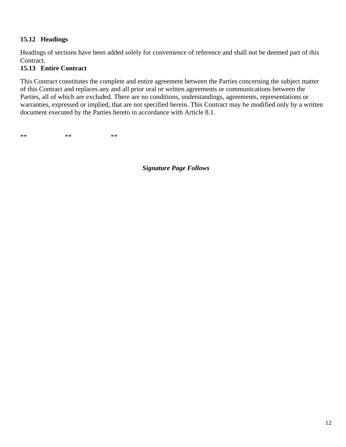### **15.12 Headings**

Headings of sections have been added solely for convenience of reference and shall not be deemed part of this Contract.

### **15.13 Entire Contract**

This Contract constitutes the complete and entire agreement between the Parties concerning the subject matter of this Contract and replaces any and all prior oral or written agreements or communications between the Parties, all of which are excluded. There are no conditions, understandings, agreements, representations or warranties, expressed or implied, that are not specified herein. This Contract may be modified only by a written document executed by the Parties hereto in accordance with Article 8.1.

 $**$  \*\* \*\* \*\*

*Signature Page Follows*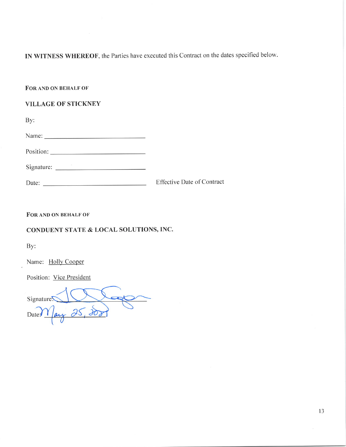IN WITNESS WHEREOF, the Parties have executed this Contract on the dates specified below.

FOR AND ON BEHALF OF

#### **VILLAGE OF STICKNEY**

By:

| Name: |  |  |  |
|-------|--|--|--|
|       |  |  |  |

| Signature: |  |
|------------|--|
|            |  |

| Date: | <b>Effective Date of Contract</b> |
|-------|-----------------------------------|
|       |                                   |

FOR AND ON BEHALF OF

#### CONDUENT STATE & LOCAL SOLUTIONS, INC.

By:

Name: Holly Cooper

Position: Vice President

Signature!  $\overline{\mathcal{L}}$ Date $M$ ay 25,200

13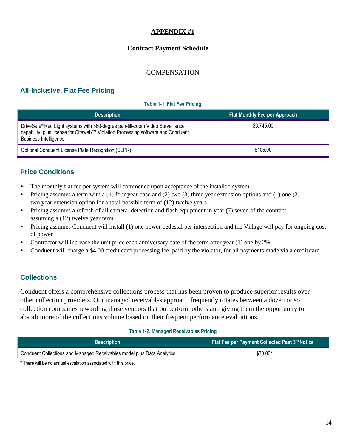#### **APPENDIX #1**

#### **Contract Payment Schedule**

#### **COMPENSATION**

## **All-Inclusive, Flat Fee Pricing**

#### **Table 1-1. Flat Fee Pricing**

| <b>Description</b>                                                                                                                                                                                | <b>Flat Monthly Fee per Approach</b> |
|---------------------------------------------------------------------------------------------------------------------------------------------------------------------------------------------------|--------------------------------------|
| DriveSafe® Red Light systems with 360-degree pan-tilt-zoom Video Surveillance<br>capability, plus license for Citeweb™ Violation Processing software and Conduent<br><b>Business Intelligence</b> | \$3,745.00                           |
| Optional Conduent License Plate Recognition (CLPR)                                                                                                                                                | \$105.00                             |

### **Price Conditions**

- The monthly flat fee per system will commence upon acceptance of the installed system
- Pricing assumes a term with a (4) four year base and (2) two (3) three year extension options and (1) one (2) two year extension option for a total possible term of (12) twelve years
- Pricing assumes a refresh of all camera, detection and flash equipment in year (7) seven of the contract, assuming a (12) twelve year term
- Pricing assumes Conduent will install (1) one power pedestal per intersection and the Village will pay for ongoing cost of power
- Contractor will increase the unit price each anniversary date of the term after year (1) one by 2%
- Conduent will charge a \$4.00 credit card processing fee, paid by the violator, for all payments made via a credit card

### **Collections**

Conduent offers a comprehensive collections process that has been proven to produce superior results over other collection providers. Our managed receivables approach frequently rotates between a dozen or so collection companies rewarding those vendors that outperform others and giving them the opportunity to absorb more of the collections volume based on their frequent performance evaluations.

#### **Table 1-2. Managed Receivables Pricing**

| <b>Description</b>                                                     | Flat Fee per Payment Collected Past 3rd Notice |
|------------------------------------------------------------------------|------------------------------------------------|
| Conduent Collections and Managed Receivables model plus Data Analytics | $$30.00*$                                      |

\* There will be no annual escalation associated with this price.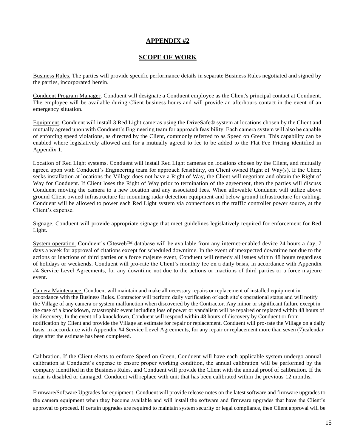#### **APPENDIX #2**

#### **SCOPE OF WORK**

Business Rules. The parties will provide specific performance details in separate Business Rules negotiated and signed by the parties, incorporated herein.

Conduent Program Manager. Conduent will designate a Conduent employee as the Client's principal contact at Conduent. The employee will be available during Client business hours and will provide an afterhours contact in the event of an emergency situation.

Equipment. Conduent will install 3 Red Light cameras using the DriveSafe® system at locations chosen by the Client and mutually agreed upon with Conduent's Engineering team for approach feasibility. Each camera system will also be capable of enforcing speed violations, as directed by the Client, commonly referred to as Speed on Green. This capability can be enabled where legislatively allowed and for a mutually agreed to fee to be added to the Flat Fee Pricing identified in Appendix 1.

Location of Red Light systems. Conduent will install Red Light cameras on locations chosen by the Client, and mutually agreed upon with Conduent's Engineering team for approach feasibility, on Client owned Right of Way(s). If the Client seeks installation at locations the Village does not have a Right of Way, the Client will negotiate and obtain the Right of Way for Conduent. If Client loses the Right of Way prior to termination of the agreement, then the parties will discuss Conduent moving the camera to a new location and any associated fees. When allowable Conduent will utilize above ground Client owned infrastructure for mounting radar detection equipment and below ground infrastructure for cabling. Conduent will be allowed to power each Red Light system via connections to the traffic controller power source, at the Client's expense.

Signage. Conduent will provide appropriate signage that meet guidelines legislatively required for enforcement for Red Light.

System operation. Conduent's Citeweb™ database will be available from any internet-enabled device 24 hours a day, 7 days a week for approval of citations except for scheduled downtime. In the event of unexpected downtime not due to the actions or inactions of third parties or a force majeure event, Conduent will remedy all issues within 48 hours regardless of holidays or weekends. Conduent will pro-rate the Client's monthly fee on a daily basis, in accordance with Appendix #4 Service Level Agreements, for any downtime not due to the actions or inactions of third parties or a force majeure event.

Camera Maintenance. Conduent will maintain and make all necessary repairs or replacement of installed equipment in accordance with the Business Rules. Contractor will perform daily verification of each site's operational status and will notify the Village of any camera or system malfunction when discovered by the Contractor. Any minor or significant failure except in the case of a knockdown, catastrophic event including loss of power or vandalism will be repaired or replaced within 48 hours of its discovery. In the event of a knockdown, Conduent will respond within 48 hours of discovery by Conduent or from notification by Client and provide the Village an estimate for repair or replacement. Conduent will pro-rate the Village on a daily basis, in accordance with Appendix #4 Service Level Agreements, for any repair or replacement more than seven (7)calendar days after the estimate has been completed.

Calibration. If the Client elects to enforce Speed on Green, Conduent will have each applicable system undergo annual calibration at Conduent's expense to ensure proper working condition, the annual calibration will be performed by the company identified in the Business Rules, and Conduent will provide the Client with the annual proof of calibration. If the radar is disabled or damaged, Conduent will replace with unit that has been calibrated within the previous 12 months.

Firmware/Software Upgrades for equipment. Conduent will provide release notes on the latest software and firmware upgrades to the camera equipment when they become available and will install the software and firmware upgrades that have the Client's approval to proceed. If certain upgrades are required to maintain system security or legal compliance, then Client approval will be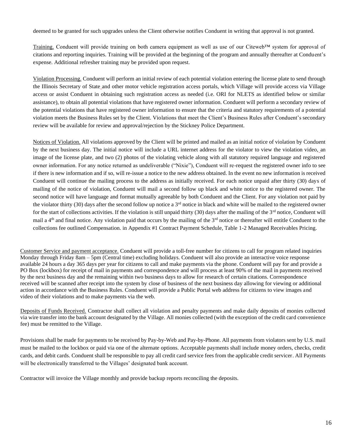deemed to be granted for such upgrades unless the Client otherwise notifies Conduent in writing that approval is not granted.

Training. Conduent will provide training on both camera equipment as well as use of our Citeweb™ system for approval of citations and reporting inquiries. Training will be provided at the beginning of the program and annually thereafter at Conduent's expense. Additional refresher training may be provided upon request.

Violation Processing. Conduent will perform an initial review of each potential violation entering the license plate to send through the Illinois Secretary of State and other motor vehicle registration access portals, which Village will provide access via Village access or assist Conduent in obtaining such registration access as needed (i.e. ORI for NLETS as identified below or similar assistance), to obtain all potential violations that have registered owner information. Conduent will perform a secondary review of the potential violations that have registered owner information to ensure that the criteria and statutory requirements of a potential violation meets the Business Rules set by the Client. Violations that meet the Client's Business Rules after Conduent's secondary review will be available for review and approval/rejection by the Stickney Police Department.

Notices of Violation. All violations approved by the Client will be printed and mailed as an initial notice of violation by Conduent by the next business day. The initial notice will include a URL internet address for the violator to view the violation video, an image of the license plate, and two (2) photos of the violating vehicle along with all statutory required language and registered owner information. For any notice returned as undeliverable ("Nixie"), Conduent will re-request the registered owner info to see if there is new information and if so, will re-issue a notice to the new address obtained. In the event no new information is received Conduent will continue the mailing process to the address as initially received. For each notice unpaid after thirty (30) days of mailing of the notice of violation, Conduent will mail a second follow up black and white notice to the registered owner. The second notice will have language and format mutually agreeable by both Conduent and the Client. For any violation not paid by the violator thirty (30) days after the second follow up notice a  $3<sup>rd</sup>$  notice in black and white will be mailed to the registered owner for the start of collections activities. If the violation is still unpaid thirty  $(30)$  days after the mailing of the  $3<sup>rd</sup>$  notice, Conduent will mail a  $4<sup>th</sup>$  and final notice. Any violation paid that occurs by the mailing of the  $3<sup>rd</sup>$  notice or thereafter will entitle Conduent to the collections fee outlined Compensation. in Appendix #1 Contract Payment Schedule, Table 1-2 Managed Receivables Pricing.

Customer Service and payment acceptance. Conduent will provide a toll-free number for citizens to call for program related inquiries Monday through Friday 8am – 5pm (Central time) excluding holidays. Conduent will also provide an interactive voice response available 24 hours a day 365 days per year for citizens to call and make payments via the phone. Conduent will pay for and provide a PO Box (lockbox) for receipt of mail in payments and correspondence and will process at least 90% of the mail in payments received by the next business day and the remaining within two business days to allow for research of certain citations. Correspondence received will be scanned after receipt into the system by close of business of the next business day allowing for viewing or additional action in accordance with the Business Rules. Conduent will provide a Public Portal web address for citizens to view images and video of their violations and to make payments via the web.

Deposits of Funds Received. Contractor shall collect all violation and penalty payments and make daily deposits of monies collected via wire transfer into the bank account designated by the Village. All monies collected (with the exception of the credit card convenience fee) must be remitted to the Village.

Provisions shall be made for payments to be received by Pay-by-Web and Pay-by-Phone. All payments from violators sent by U.S. mail must be mailed to the lockbox or paid via one of the alternate options. Acceptable payments shall include money orders, checks, credit cards, and debit cards. Conduent shall be responsible to pay all credit card service fees from the applicable credit servicer. All Payments will be electronically transferred to the Villages' designated bank account.

Contractor will invoice the Village monthly and provide backup reports reconciling the deposits.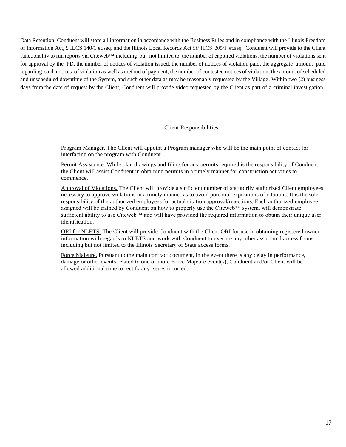Data Retention. Conduent will store all information in accordance with the Business Rules and in compliance with the Illinois Freedom of Information Act, 5 ILCS 140/1 et.seq. and the Illinois Local Records Act *50* ILCS 205/1 et.seq. Conduent will provide to the Client functionality to run reports via Citeweb™ including but not limited to the number of captured violations, the number of violations sent for approval by the PD, the number of notices of violation issued, the number of notices of violation paid, the aggregate amount paid regarding said notices of violation as well as method of payment, the number of contested notices of violation, the amount of scheduled and unscheduled downtime of the System, and such other data as may be reasonably requested by the Village. Within two (2) business days from the date of request by the Client, Conduent will provide video requested by the Client as part of a criminal investigation.

#### Client Responsibilities

Program Manager. The Client will appoint a Program manager who will be the main point of contact for interfacing on the program with Conduent.

Permit Assistance. While plan drawings and filing for any permits required is the responsibility of Conduent; the Client will assist Conduent in obtaining permits in a timely manner for construction activities to commence.

Approval of Violations. The Client will provide a sufficient number of statutorily authorized Client employees necessary to approve violations in a timely manner as to avoid potential expirations of citations. It is the sole responsibility of the authorized employees for actual citation approval/rejections. Each authorized employee assigned will be trained by Conduent on how to properly use the Citeweb™ system, will demonstrate sufficient ability to use Citeweb™ and will have provided the required information to obtain their unique user identification.

ORI for NLETS. The Client will provide Conduent with the Client ORI for use in obtaining registered owner information with regards to NLETS and work with Conduent to execute any other associated access forms including but not limited to the Illinois Secretary of State access forms.

Force Majeure. Pursuant to the main contract document, in the event there is any delay in performance, damage or other events related to one or more Force Majeure event(s), Conduent and/or Client will be allowed additional time to rectify any issues incurred.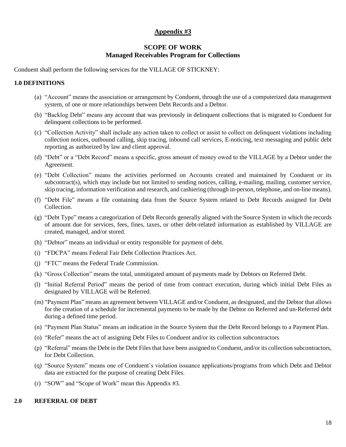#### **Appendix #3**

#### **SCOPE OF WORK Managed Receivables Program for Collections**

Conduent shall perform the following services for the VILLAGE OF STICKNEY:

#### **1.0 DEFINITIONS**

- (a) "Account" means the association or arrangement by Conduent, through the use of a computerized data management system, of one or more relationships between Debt Records and a Debtor.
- (b) "Backlog Debt" means any account that was previously in delinquent collections that is migrated to Conduent for delinquent collections to be performed.
- (c) "Collection Activity" shall include any action taken to collect or assist to collect on delinquent violations including collection notices, outbound calling, skip tracing, inbound call services, E-noticing, text messaging and public debt reporting as authorized by law and client approval.
- (d) "Debt" or a "Debt Record" means a specific, gross amount of money owed to the VILLAGE by a Debtor under the Agreement.
- (e) "Debt Collection" means the activities performed on Accounts created and maintained by Conduent or its subcontract(s), which may include but not limited to sending notices, calling, e-mailing, mailing, customer service, skip tracing, information verification and research, and cashiering (through in-person, telephone, and on-line means).
- (f) "Debt File" means a file containing data from the Source System related to Debt Records assigned for Debt Collection.
- (g) "Debt Type" means a categorization of Debt Records generally aligned with the Source System in which the records of amount due for services, fees, fines, taxes, or other debt-related information as established by VILLAGE are created, managed, and/or stored.
- (h) "Debtor" means an individual or entity responsible for payment of debt.
- (i) "FDCPA" means Federal Fair Debt Collection Practices Act.
- (j) "FTC" means the Federal Trade Commission.
- (k) "Gross Collection" means the total, unmitigated amount of payments made by Debtors on Referred Debt.
- (l) "Initial Referral Period" means the period of time from contract execution, during which initial Debt Files as designated by VILLAGE will be Referred.
- (m) "Payment Plan" means an agreement between VILLAGE and/or Conduent, as designated, and the Debtor that allows for the creation of a schedule for incremental payments to be made by the Debtor on Referred and un-Referred debt during a defined time period.
- (n) "Payment Plan Status" means an indication in the Source System that the Debt Record belongs to a Payment Plan.
- (o) "Refer" means the act of assigning Debt Files to Conduent and/or its collection subcontractors
- (p) "Referral" means the Debt in the Debt Files that have been assigned to Conduent, and/or its collection subcontractors, for Debt Collection.
- (q) "Source System" means one of Conduent's violation issuance applications/programs from which Debt and Debtor data are extracted for the purpose of creating Debt Files.
- (r) "SOW" and "Scope of Work" mean this Appendix #3.

#### **2.0 REFERRAL OF DEBT**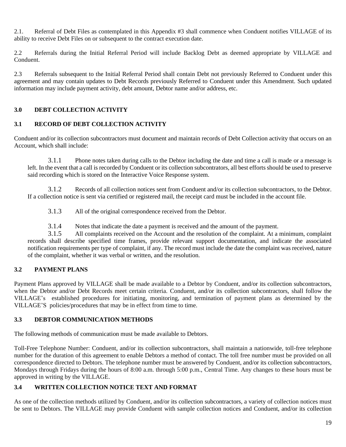2.1. Referral of Debt Files as contemplated in this Appendix #3 shall commence when Conduent notifies VILLAGE of its ability to receive Debt Files on or subsequent to the contract execution date.

2.2 Referrals during the Initial Referral Period will include Backlog Debt as deemed appropriate by VILLAGE and Conduent.

2.3 Referrals subsequent to the Initial Referral Period shall contain Debt not previously Referred to Conduent under this agreement and may contain updates to Debt Records previously Referred to Conduent under this Amendment. Such updated information may include payment activity, debt amount, Debtor name and/or address, etc.

### **3.0 DEBT COLLECTION ACTIVITY**

#### **3.1 RECORD OF DEBT COLLECTION ACTIVITY**

Conduent and/or its collection subcontractors must document and maintain records of Debt Collection activity that occurs on an Account, which shall include:

3.1.1 Phone notes taken during calls to the Debtor including the date and time a call is made or a message is left. In the event that a call is recorded by Conduent or its collection subcontrators, all best efforts should be used to preserve said recording which is stored on the Interactive Voice Response system.

3.1.2 Records of all collection notices sent from Conduent and/or its collection subcontractors, to the Debtor. If a collection notice is sent via certified or registered mail, the receipt card must be included in the account file.

3.1.3 All of the original correspondence received from the Debtor.

3.1.4 Notes that indicate the date a payment is received and the amount of the payment.

3.1.5 All complaints received on the Account and the resolution of the complaint. At a minimum, complaint records shall describe specified time frames, provide relevant support documentation, and indicate the associated notification requirements per type of complaint, if any. The record must include the date the complaint was received, nature of the complaint, whether it was verbal or written, and the resolution.

#### **3.2 PAYMENT PLANS**

Payment Plans approved by VILLAGE shall be made available to a Debtor by Conduent, and/or its collection subcontractors, when the Debtor and/or Debt Records meet certain criteria. Conduent, and/or its collection subcontractors, shall follow the VILLAGE's established procedures for initiating, monitoring, and termination of payment plans as determined by the VILLAGE'S policies/procedures that may be in effect from time to time.

#### **3.3 DEBTOR COMMUNICATION METHODS**

The following methods of communication must be made available to Debtors.

Toll-Free Telephone Number: Conduent, and/or its collection subcontractors, shall maintain a nationwide, toll-free telephone number for the duration of this agreement to enable Debtors a method of contact. The toll free number must be provided on all correspondence directed to Debtors. The telephone number must be answered by Conduent, and/or its collection subcontractors, Mondays through Fridays during the hours of 8:00 a.m. through 5:00 p.m., Central Time. Any changes to these hours must be approved in writing by the VILLAGE.

#### **3.4 WRITTEN COLLECTION NOTICE TEXT AND FORMAT**

As one of the collection methods utilized by Conduent, and/or its collection subcontractors, a variety of collection notices must be sent to Debtors. The VILLAGE may provide Conduent with sample collection notices and Conduent, and/or its collection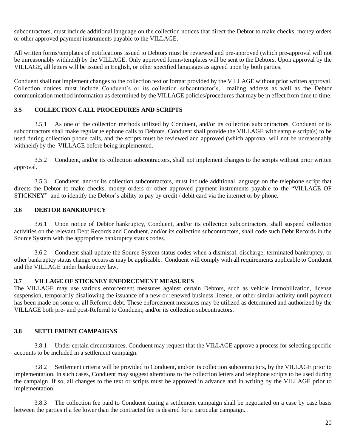subcontractors, must include additional language on the collection notices that direct the Debtor to make checks, money orders or other approved payment instruments payable to the VILLAGE.

All written forms/templates of notifications issued to Debtors must be reviewed and pre-approved (which pre-approval will not be unreasonably withheld) by the VILLAGE. Only approved forms/templates will be sent to the Debtors. Upon approval by the VILLAGE, all letters will be issued in English, or other specified languages as agreed upon by both parties.

Conduent shall not implement changes to the collection text or format provided by the VILLAGE without prior written approval. Collection notices must include Conduent's or its collection subcontractor's, mailing address as well as the Debtor communication method information as determined by the VILLAGE policies/procedures that may be in effect from time to time.

#### **3.5 COLLECTION CALL PROCEDURES AND SCRIPTS**

3.5.1 As one of the collection methods utilized by Conduent, and/or its collection subcontractors, Conduent or its subcontractors shall make regular telephone calls to Debtors. Conduent shall provide the VILLAGE with sample script(s) to be used during collection phone calls, and the scripts must be reviewed and approved (which approval will not be unreasonably withheld) by the VILLAGE before being implemented.

3.5.2 Conduent, and/or its collection subcontractors, shall not implement changes to the scripts without prior written approval.

3.5.3 Conduent, and/or its collection subcontractors, must include additional language on the telephone script that directs the Debtor to make checks, money orders or other approved payment instruments payable to the "VILLAGE OF STICKNEY" and to identify the Debtor's ability to pay by credit / debit card via the internet or by phone.

#### **3.6 DEBTOR BANKRUPTCY**

3.6.1 Upon notice of Debtor bankruptcy, Conduent, and/or its collection subcontractors, shall suspend collection activities on the relevant Debt Records and Conduent, and/or its collection subcontractors, shall code such Debt Records in the Source System with the appropriate bankruptcy status codes.

3.6.2 Conduent shall update the Source System status codes when a dismissal, discharge, terminated bankruptcy, or other bankruptcy status change occurs as may be applicable. Conduent will comply with all requirements applicable to Conduent and the VILLAGE under bankruptcy law.

#### **3.7 VILLAGE OF STICKNEY ENFORCEMENT MEASURES**

The VILLAGE may use various enforcement measures against certain Debtors, such as vehicle immobilization, license suspension, temporarily disallowing the issuance of a new or renewed business license, or other similar activity until payment has been made on some or all Referred debt. These enforcement measures may be utilized as determined and authorized by the VILLAGE both pre- and post-Referral to Conduent, and/or its collection subcontractors.

#### **3.8 SETTLEMENT CAMPAIGNS**

3.8.1 Under certain circumstances, Conduent may request that the VILLAGE approve a process for selecting specific accounts to be included in a settlement campaign.

3.8.2 Settlement criteria will be provided to Conduent, and/or its collection subcontractors, by the VILLAGE prior to implementation. In such cases, Conduent may suggest alterations to the collection letters and telephone scripts to be used during the campaign. If so, all changes to the text or scripts must be approved in advance and in writing by the VILLAGE prior to implementation.

3.8.3 The collection fee paid to Conduent during a settlement campaign shall be negotiated on a case by case basis between the parties if a fee lower than the contracted fee is desired for a particular campaign. .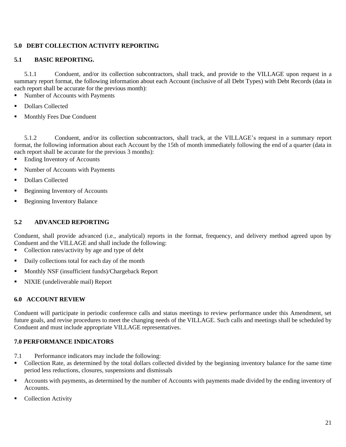#### **5.0 DEBT COLLECTION ACTIVITY REPORTING**

### **5.1 BASIC REPORTING.**

5.1.1 Conduent, and/or its collection subcontractors, shall track, and provide to the VILLAGE upon request in a summary report format, the following information about each Account (inclusive of all Debt Types) with Debt Records (data in each report shall be accurate for the previous month):

- Number of Accounts with Payments
- Dollars Collected
- Monthly Fees Due Conduent

5.1.2 Conduent, and/or its collection subcontractors, shall track, at the VILLAGE's request in a summary report format, the following information about each Account by the 15th of month immediately following the end of a quarter (data in each report shall be accurate for the previous 3 months):

- Ending Inventory of Accounts
- Number of Accounts with Payments
- Dollars Collected
- Beginning Inventory of Accounts
- Beginning Inventory Balance

#### **5.2 ADVANCED REPORTING**

Conduent, shall provide advanced (i.e., analytical) reports in the format, frequency, and delivery method agreed upon by Conduent and the VILLAGE and shall include the following:

- Collection rates/activity by age and type of debt
- Daily collections total for each day of the month
- Monthly NSF (insufficient funds)/Chargeback Report
- NIXIE (undeliverable mail) Report

#### **6.0 ACCOUNT REVIEW**

Conduent will participate in periodic conference calls and status meetings to review performance under this Amendment, set future goals, and revise procedures to meet the changing needs of the VILLAGE. Such calls and meetings shall be scheduled by Conduent and must include appropriate VILLAGE representatives.

#### **7.0 PERFORMANCE INDICATORS**

- 7.1 Performance indicators may include the following:
- Collection Rate, as determined by the total dollars collected divided by the beginning inventory balance for the same time period less reductions, closures, suspensions and dismissals
- Accounts with payments, as determined by the number of Accounts with payments made divided by the ending inventory of Accounts.
- Collection Activity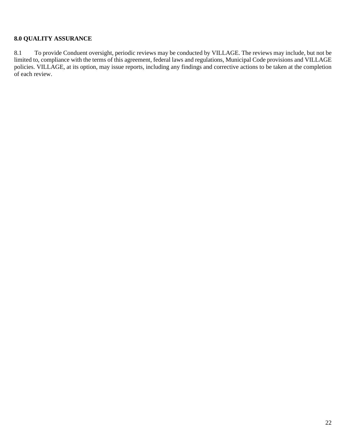### **8.0 QUALITY ASSURANCE**

8.1 To provide Conduent oversight, periodic reviews may be conducted by VILLAGE. The reviews may include, but not be limited to, compliance with the terms of this agreement, federal laws and regulations, Municipal Code provisions and VILLAGE policies. VILLAGE, at its option, may issue reports, including any findings and corrective actions to be taken at the completion of each review.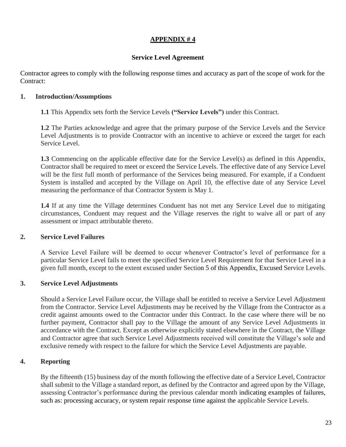### **APPENDIX # 4**

#### **Service Level Agreement**

Contractor agrees to comply with the following response times and accuracy as part of the scope of work for the Contract:

#### **1. Introduction/Assumptions**

**1.1** This Appendix sets forth the Service Levels **("Service Levels")** under this Contract.

**1.2** The Parties acknowledge and agree that the primary purpose of the Service Levels and the Service Level Adjustments is to provide Contractor with an incentive to achieve or exceed the target for each Service Level.

**1.3** Commencing on the applicable effective date for the Service Level(s) as defined in this Appendix, Contractor shall be required to meet or exceed the Service Levels. The effective date of any Service Level will be the first full month of performance of the Services being measured. For example, if a Conduent System is installed and accepted by the Village on April 10, the effective date of any Service Level measuring the performance of that Contractor System is May 1.

**1.4** If at any time the Village determines Conduent has not met any Service Level due to mitigating circumstances, Conduent may request and the Village reserves the right to waive all or part of any assessment or impact attributable thereto.

#### **2. Service Level Failures**

A Service Level Failure will be deemed to occur whenever Contractor's level of performance for a particular Service Level fails to meet the specified Service Level Requirement for that Service Level in a given full month, except to the extent excused under Section 5 of this Appendix, Excused Service Levels.

#### **3. Service Level Adjustments**

Should a Service Level Failure occur, the Village shall be entitled to receive a Service Level Adjustment from the Contractor. Service Level Adjustments may be received by the Village from the Contractor as a credit against amounts owed to the Contractor under this Contract. In the case where there will be no further payment, Contractor shall pay to the Village the amount of any Service Level Adjustments in accordance with the Contract. Except as otherwise explicitly stated elsewhere in the Contract, the Village and Contractor agree that such Service Level Adjustments received will constitute the Village's sole and exclusive remedy with respect to the failure for which the Service Level Adjustments are payable.

#### **4. Reporting**

By the fifteenth (15) business day of the month following the effective date of a Service Level, Contractor shall submit to the Village a standard report, as defined by the Contractor and agreed upon by the Village, assessing Contractor's performance during the previous calendar month indicating examples of failures, such as: processing accuracy, or system repair response time against the applicable Service Levels.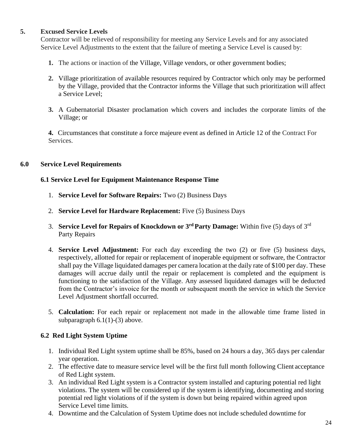#### **5. Excused Service Levels**

Contractor will be relieved of responsibility for meeting any Service Levels and for any associated Service Level Adjustments to the extent that the failure of meeting a Service Level is caused by:

- **1.** The actions or inaction of the Village, Village vendors, or other government bodies;
- **2.** Village prioritization of available resources required by Contractor which only may be performed by the Village, provided that the Contractor informs the Village that such prioritization will affect a Service Level;
- **3.** A Gubernatorial Disaster proclamation which covers and includes the corporate limits of the Village; or

**4.** Circumstances that constitute a force majeure event as defined in Article 12 of the Contract For Services.

#### **6.0 Service Level Requirements**

#### **6.1 Service Level for Equipment Maintenance Response Time**

- 1. **Service Level for Software Repairs:** Two (2) Business Days
- 2. **Service Level for Hardware Replacement:** Five (5) Business Days
- 3. **Service Level for Repairs of Knockdown or 3rd Party Damage:** Within five (5) days of 3rd Party Repairs
- 4. **Service Level Adjustment:** For each day exceeding the two (2) or five (5) business days, respectively, allotted for repair or replacement of inoperable equipment or software, the Contractor shall pay the Village liquidated damages per camera location at the daily rate of \$100 per day. These damages will accrue daily until the repair or replacement is completed and the equipment is functioning to the satisfaction of the Village. Any assessed liquidated damages will be deducted from the Contractor's invoice for the month or subsequent month the service in which the Service Level Adjustment shortfall occurred.
- 5. **Calculation:** For each repair or replacement not made in the allowable time frame listed in subparagraph  $6.1(1)-(3)$  above.

#### **6.2 Red Light System Uptime**

- 1. Individual Red Light system uptime shall be 85%, based on 24 hours a day, 365 days per calendar year operation.
- 2. The effective date to measure service level will be the first full month following Client acceptance of Red Light system.
- 3. An individual Red Light system is a Contractor system installed and capturing potential red light violations. The system will be considered up if the system is identifying, documenting and storing potential red light violations of if the system is down but being repaired within agreed upon Service Level time limits.
- 4. Downtime and the Calculation of System Uptime does not include scheduled downtime for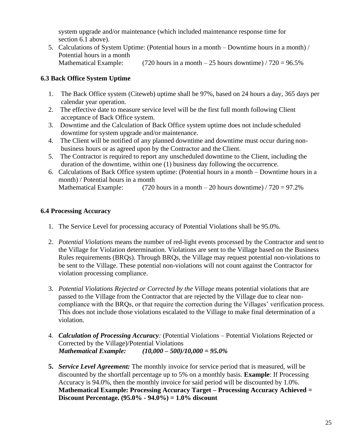system upgrade and/or maintenance (which included maintenance response time for section 6.1 above).

5. Calculations of System Uptime: (Potential hours in a month – Downtime hours in a month) / Potential hours in a month Mathematical Example: (720 hours in a month  $-25$  hours downtime) / 720 = 96.5%

### **6.3 Back Office System Uptime**

- 1. The Back Office system (Citeweb) uptime shall be 97%, based on 24 hours a day, 365 days per calendar year operation.
- 2. The effective date to measure service level will be the first full month following Client acceptance of Back Office system.
- 3. Downtime and the Calculation of Back Office system uptime does not include scheduled downtime for system upgrade and/or maintenance.
- 4. The Client will be notified of any planned downtime and downtime must occur during nonbusiness hours or as agreed upon by the Contractor and the Client.
- 5. The Contractor is required to report any unscheduled downtime to the Client, including the duration of the downtime, within one (1) business day following the occurrence.
- 6. Calculations of Back Office system uptime: (Potential hours in a month Downtime hours in a month) / Potential hours in a month Mathematical Example: (720 hours in a month – 20 hours downtime) /  $720 = 97.2\%$

#### **6.4 Processing Accuracy**

- 1. The Service Level for processing accuracy of Potential Violations shall be 95.0%.
- 2. *Potential Violations* means the number of red-light events processed by the Contractor and sent to the Village for Violation determination. Violations are sent to the Village based on the Business Rules requirements (BRQs). Through BRQs, the Village may request potential non-violations to be sent to the Village. These potential non-violations will not count against the Contractor for violation processing compliance.
- 3. *Potential Violations Rejected or Corrected by the Village* means potential violations that are passed to the Village from the Contractor that are rejected by the Village due to clear noncompliance with the BRQs, or that require the correction during the Villages' verification process. This does not include those violations escalated to the Village to make final determination of a violation.
- 4. *Calculation of Processing Accuracy:* (Potential Violations Potential Violations Rejected or Corrected by the Village)/Potential Violations *Mathematical Example: (10,000 – 500)/10,000 = 95.0%*
- **5.** *Service Level Agreement:* The monthly invoice for service period that is measured, will be discounted by the shortfall percentage up to 5% on a monthly basis. **Example**: If Processing Accuracy is 94.0%, then the monthly invoice for said period will be discounted by 1.0%. **Mathematical Example: Processing Accuracy Target – Processing Accuracy Achieved = Discount Percentage. (95.0% - 94.0%) = 1.0% discount**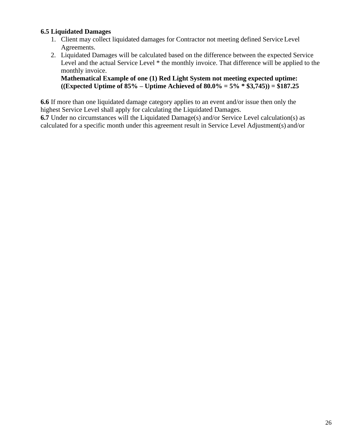### **6.5 Liquidated Damages**

- 1. Client may collect liquidated damages for Contractor not meeting defined Service Level Agreements.
- 2. Liquidated Damages will be calculated based on the difference between the expected Service Level and the actual Service Level \* the monthly invoice. That difference will be applied to the monthly invoice.

**Mathematical Example of one (1) Red Light System not meeting expected uptime: ((Expected Uptime of 85% – Uptime Achieved of 80.0% = 5% \* \$3,745)) = \$187.25**

**6.6** If more than one liquidated damage category applies to an event and/or issue then only the highest Service Level shall apply for calculating the Liquidated Damages.

**6.7** Under no circumstances will the Liquidated Damage(s) and/or Service Level calculation(s) as calculated for a specific month under this agreement result in Service Level Adjustment(s) and/or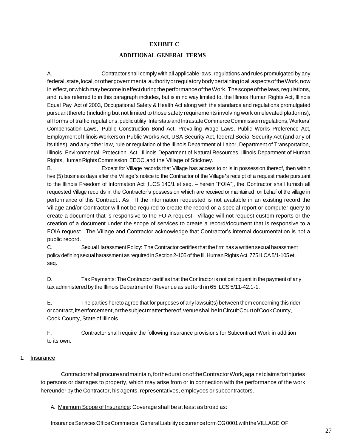#### **EXHBIT C**

#### **ADDITIONAL GENERAL TERMS**

A. Contractor shall comply with all applicable laws, regulations and rules promulgated by any federal, state, local, or other governmental authority or regulatory body pertaining to all aspects of the Work, now in effect, or which may become in effect during the performance of the Work. The scope of the laws, regulations, and rules referred to in this paragraph includes, but is in no way limited to, the Illinois Human Rights Act, Illinois Equal Pay Act of 2003, Occupational Safety & Health Act along with the standards and regulations promulgated pursuantthereto (including but not limited to those safety requirements involving work on elevated platforms), all forms of traffic regulations, public utility, Interstate and Intrastate Commerce Commission regulations, Workers' Compensation Laws, Public Construction Bond Act, Prevailing Wage Laws, Public Works Preference Act, Employmentof IllinoisWorkers on Public Works Act, USA Security Act, federal Social Security Act (and any of its titles), and any other law, rule or regulation of the Illinois Department of Labor, Department of Transportation, Illinois Environmental Protection Act, Illinois Department of Natural Resources, Illinois Department of Human Rights,HumanRightsCommission,EEOC,and the Village of Stickney.

B. Except for Village records that Village has access to or is in possession thereof, then within five (5) business days after the Village's notice to the Contractor of the Village's receipt of a request made pursuant to the Illinois Freedom of Information Act [ILCS 140/1 et seq. – herein "FOIA"], the Contractor shall furnish all requested Village records in the Contractor's possession which are received or maintained on behalf of the village in performance of this Contract.. As If the information requested is not available in an existing record the Village and/or Contractor will not be required to create the record or a special report or computer query to create a document that is responsive to the FOIA request. Village will not request custom reports or the creation of a document under the scope of services to create a record/document that is responsive to a FOIA request. The Village and Contractor acknowledge that Contractor's internal documentation is not a public record.

C. Sexual Harassment Policy: The Contractor certifies that the firm has a written sexual harassment policy defining sexual harassment as required in Section 2-105 of the III. Human Rights Act. 775 ILCA 5/1-105 et. seq.

D. Tax Payments: The Contractor certifies that the Contractor is not delinquent in the payment of any tax administered by the Illinois Department of Revenue as set forth in 65 ILCS 5/11-42.1-1.

E. The parties hereto agree that for purposes of any lawsuit(s) between them concerning this rider orcontract,itsenforcement,orthesubjectmatterthereof,venueshallbeinCircuitCourtofCookCounty, Cook County, State of Illinois.

F. Contractor shall require the following insurance provisions for Subcontract Work in addition to its own.

#### 1. Insurance

Contractorshallprocureandmaintain,forthedurationoftheContractorWork,againstclaimsforinjuries to persons or damages to property, which may arise from or in connection with the performance of the work hereunder by the Contractor, his agents, representatives, employees or subcontractors.

A. Minimum Scope of Insurance: Coverage shall be at least as broad as:

Insurance Services Office Commercial General Liability occurrence form CG0001 with the VILLAGE OF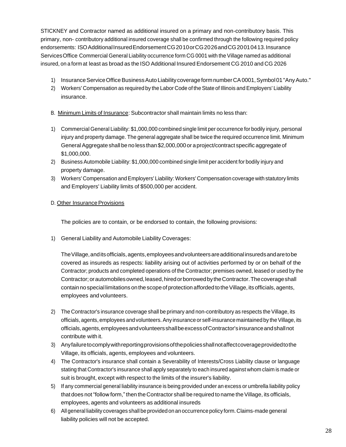STICKNEY and Contractor named as additional insured on a primary and non-contributory basis. This primary, non- contributory additional insured coverage shall be confirmed through the following required policy endorsements: ISOAdditionalInsuredEndorsementCG2010orCG2026andCG20010413.Insurance ServicesOffice Commercial General Liability occurrence form CG 0001 with the Village named as additional insured, on a form at least as broad as the ISO Additional Insured Endorsement CG 2010 and CG 2026

- 1) Insurance Service Office Business Auto Liability coverage form number CA0001, Symbol 01 "Any Auto."
- 2) Workers' Compensation as required by the Labor Code of the State of Illinois and Employers' Liability insurance.
- B. Minimum Limits of Insurance: Subcontractor shall maintain limits no less than:
- 1) Commercial General Liability: \$1,000,000 combined single limit per occurrence for bodily injury, personal injury and property damage. The general aggregate shall be twice the required occurrence limit. Minimum General Aggregate shall be no less than \$2,000,000 or a project/contract specific aggregate of \$1,000,000.
- 2) Business Automobile Liability: \$1,000,000 combined single limit per accident for bodily injury and property damage.
- 3) Workers' Compensation and Employers' Liability: Workers' Compensation coverage with statutory limits and Employers' Liability limits of \$500,000 per accident.

#### D. Other Insurance Provisions

The policies are to contain, or be endorsed to contain, the following provisions:

1) General Liability and Automobile Liability Coverages:

TheVillage,anditsofficials,agents,employeesandvolunteersareadditional insuredsandaretobe covered as insureds as respects: liability arising out of activities performed by or on behalf of the Contractor; products and completed operations of the Contractor; premises owned, leased or used by the Contractor; or automobiles owned, leased, hired or borrowed by the Contractor. The coverage shall contain no special limitations on the scope of protection afforded to the Village, its officials, agents, employees and volunteers.

- 2) The Contractor's insurance coverage shall be primary and non-contributory as respects the Village, its officials, agents, employees andvolunteers.Any insurance or self-insurance maintained by theVillage, its officials,agents,employeesandvolunteersshallbeexcessofContractor'sinsuranceandshallnot contribute with it.
- 3) Anyfailuretocomplywithreportingprovisionsofthepoliciesshallnotaffectcoverageprovidedtothe Village, its officials, agents, employees and volunteers.
- 4) The Contractor's insurance shall contain a Severability of Interests/Cross Liability clause or language stating that Contractor's insurance shall apply separately to each insured against whom claim is made or suit is brought, except with respect to the limits of the insurer's liability.
- 5) If any commercial general liability insurance is being provided under an excess or umbrella liability policy that does not "follow form," then the Contractor shall be required to name the Village, its officials, employees, agents and volunteers as additional insureds
- 6) Allgeneral liability coverages shallbe provided on an occurrence policy form.Claims-made general liability policies will not be accepted.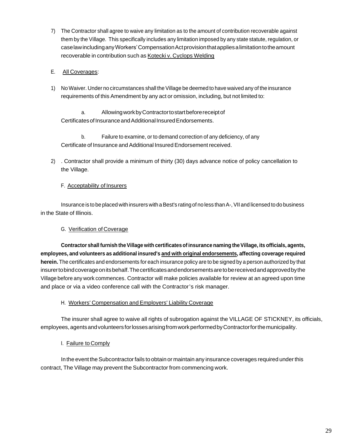- 7) The Contractor shall agree to waive any limitation as to the amount of contribution recoverable against them by the Village. This specifically includes any limitation imposed by any state statute, regulation, or caselawincludinganyWorkers'CompensationActprovisionthatappliesalimitationtotheamount recoverable in contribution such as Kotecki v. Cyclops Welding
- E. All Coverages:
- 1) NoWaiver. Under no circumstances shall theVillage be deemed to have waived any of the insurance requirements of this Amendment by any act or omission, including, but not limited to:

a. AllowingworkbyContractortostartbeforereceiptof Certificates of Insurance and Additional Insured Endorsements.

b. Failure to examine, or to demand correction of any deficiency, of any Certificate of Insurance and Additional Insured Endorsement received.

2) . Contractor shall provide a minimum of thirty (30) days advance notice of policy cancellation to the Village.

#### F. Acceptability of Insurers

Insurance is to be placed with insurers with a Best's rating of no less than A-, VII and licensed to do business in the State of Illinois.

#### G. Verification of Coverage

**Contractor shall furnish theVillage with certificates of insurance naming theVillage, its officials, agents, employees, and volunteers as additional insured's and with original endorsements, affecting coverage required herein.** The certificates and endorsements for each insurance policy are to be signed by a person authorized by that insurertobindcoverageonitsbehalf.Thecertificatesandendorsementsaretobereceivedandapprovedbythe Village before any work commences. Contractor will make policies available for review at an agreed upon time and place or via a video conference call with the Contractor's risk manager.

#### H. Workers' Compensation and Employers' Liability Coverage

The insurer shall agree to waive all rights of subrogation against the VILLAGE OF STICKNEY, its officials, employees, agents and volunteers for losses arising from work performed by Contractor for the municipality.

I. Failure to Comply

In the event the Subcontractor fails to obtain or maintain any insurance coverages required under this contract, The Village may prevent the Subcontractor from commencing work.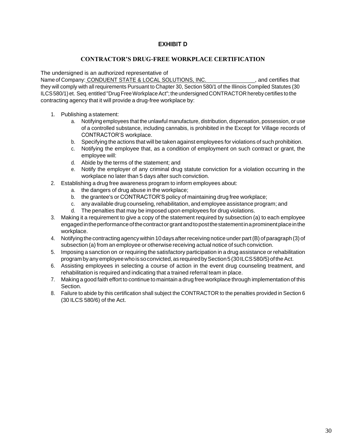#### **EXHIBIT D**

#### **CONTRACTOR'S DRUG-FREE WORKPLACE CERTIFICATION**

The undersigned is an authorized representative of

Name of Company: CONDUENT STATE & LOCAL SOLUTIONS, INC.  $\blacksquare$  , and certifies that they will comply with all requirements Pursuant to Chapter 30, Section 580/1 of the Illinois Compiled Statutes (30 ILCS580/1) et. Seq. entitled "Drug Free Workplace Act"; the undersigned CONTRACTOR hereby certifies to the contracting agency that it will provide a drug-free workplace by:

- 1. Publishing a statement:
	- a. Notifying employees that the unlawful manufacture, distribution, dispensation, possession, or use of a controlled substance, including cannabis, is prohibited in the Except for Village records of CONTRACTOR'S workplace.
	- b. Specifying the actions that will be taken against employees for violations of such prohibition.
	- c. Notifying the employee that, as a condition of employment on such contract or grant, the employee will:
	- d. Abide by the terms of the statement; and
	- e. Notify the employer of any criminal drug statute conviction for a violation occurring in the workplace no later than 5 days after such conviction.
- 2. Establishing a drug free awareness program to inform employees about:
	- a. the dangers of drug abuse in the workplace;
	- b. the grantee's or CONTRACTOR'S policy of maintaining drug free workplace;
	- c. any available drug counseling, rehabilitation, and employee assistance program; and
	- d. The penalties that may be imposed upon employees for drug violations.
- 3. Making it a requirement to give a copy of the statement required by subsection (a) to each employee engaged in the performance of the contract or grant and to post the statement in a prominent place in the workplace.
- 4. Notifying the contracting agencywithin 10 days afterreceiving notice under part(B) of paragraph (3) of subsection (a) from an employee or otherwise receiving actual notice of such conviction.
- 5. Imposing a sanction on or requiring the satisfactory participation in a drug assistance or rehabilitation programbyanyemployeewhois soconvicted,as requiredbySection5(30ILCS580/5)oftheAct.
- 6. Assisting employees in selecting a course of action in the event drug counseling treatment, and rehabilitation is required and indicating that a trained referral team in place.
- 7. Making a good faith effort to continue to maintain a drug free workplace through implementation of this Section.
- 8. Failure to abide by this certification shall subject the CONTRACTOR to the penalties provided in Section 6 (30 ILCS 580/6) of the Act.